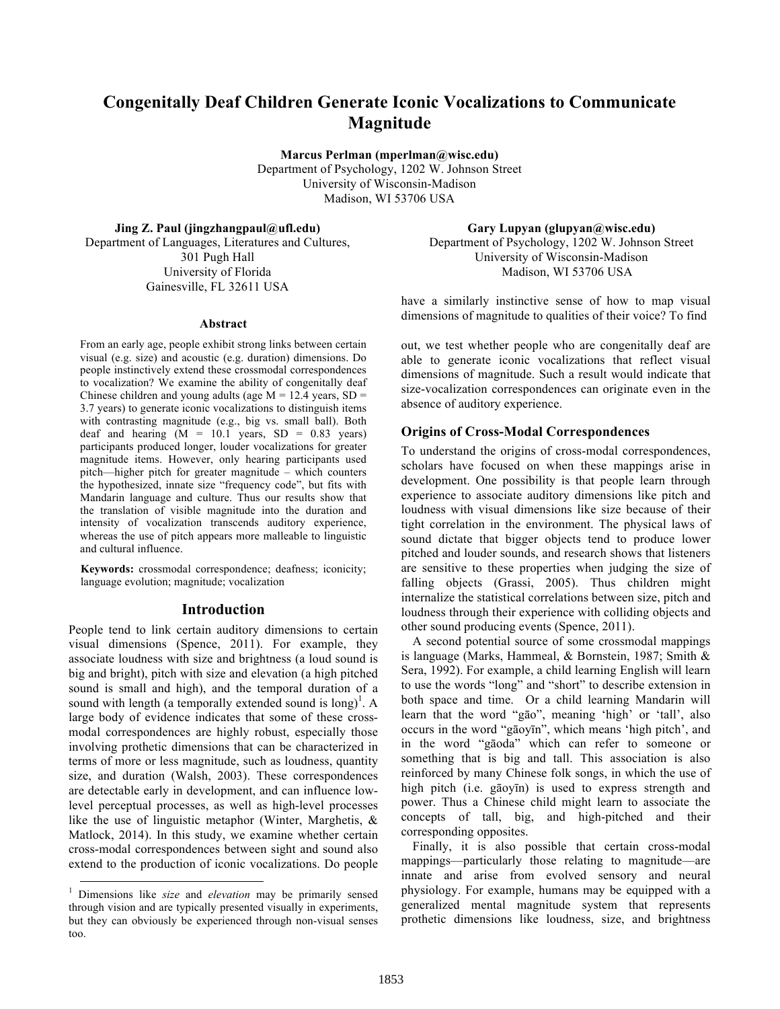# **Congenitally Deaf Children Generate Iconic Vocalizations to Communicate Magnitude**

**Marcus Perlman (mperlman@wisc.edu)**  Department of Psychology, 1202 W. Johnson Street University of Wisconsin-Madison Madison, WI 53706 USA

**Jing Z. Paul (jingzhangpaul@ufl.edu)**

Department of Languages, Literatures and Cultures, 301 Pugh Hall University of Florida Gainesville, FL 32611 USA

#### **Abstract**

From an early age, people exhibit strong links between certain visual (e.g. size) and acoustic (e.g. duration) dimensions. Do people instinctively extend these crossmodal correspondences to vocalization? We examine the ability of congenitally deaf Chinese children and young adults (age  $M = 12.4$  years,  $SD =$ 3.7 years) to generate iconic vocalizations to distinguish items with contrasting magnitude (e.g., big vs. small ball). Both deaf and hearing  $(M = 10.1$  years,  $SD = 0.83$  years) participants produced longer, louder vocalizations for greater magnitude items. However, only hearing participants used pitch—higher pitch for greater magnitude – which counters the hypothesized, innate size "frequency code", but fits with Mandarin language and culture. Thus our results show that the translation of visible magnitude into the duration and intensity of vocalization transcends auditory experience, whereas the use of pitch appears more malleable to linguistic and cultural influence.

**Keywords:** crossmodal correspondence; deafness; iconicity; language evolution; magnitude; vocalization

#### **Introduction**

People tend to link certain auditory dimensions to certain visual dimensions (Spence, 2011). For example, they associate loudness with size and brightness (a loud sound is big and bright), pitch with size and elevation (a high pitched sound is small and high), and the temporal duration of a sound with length (a temporally extended sound is long)<sup>1</sup>. A large body of evidence indicates that some of these crossmodal correspondences are highly robust, especially those involving prothetic dimensions that can be characterized in terms of more or less magnitude, such as loudness, quantity size, and duration (Walsh, 2003). These correspondences are detectable early in development, and can influence lowlevel perceptual processes, as well as high-level processes like the use of linguistic metaphor (Winter, Marghetis, & Matlock, 2014). In this study, we examine whether certain cross-modal correspondences between sight and sound also extend to the production of iconic vocalizations. Do people

**Gary Lupyan (glupyan@wisc.edu)** Department of Psychology, 1202 W. Johnson Street University of Wisconsin-Madison Madison, WI 53706 USA

have a similarly instinctive sense of how to map visual dimensions of magnitude to qualities of their voice? To find

out, we test whether people who are congenitally deaf are able to generate iconic vocalizations that reflect visual dimensions of magnitude. Such a result would indicate that size-vocalization correspondences can originate even in the absence of auditory experience.

#### **Origins of Cross-Modal Correspondences**

To understand the origins of cross-modal correspondences, scholars have focused on when these mappings arise in development. One possibility is that people learn through experience to associate auditory dimensions like pitch and loudness with visual dimensions like size because of their tight correlation in the environment. The physical laws of sound dictate that bigger objects tend to produce lower pitched and louder sounds, and research shows that listeners are sensitive to these properties when judging the size of falling objects (Grassi, 2005). Thus children might internalize the statistical correlations between size, pitch and loudness through their experience with colliding objects and other sound producing events (Spence, 2011).

A second potential source of some crossmodal mappings is language (Marks, Hammeal, & Bornstein, 1987; Smith & Sera, 1992). For example, a child learning English will learn to use the words "long" and "short" to describe extension in both space and time. Or a child learning Mandarin will learn that the word "gāo", meaning 'high' or 'tall', also occurs in the word "gāoyīn", which means 'high pitch', and in the word "gāoda" which can refer to someone or something that is big and tall. This association is also reinforced by many Chinese folk songs, in which the use of high pitch (i.e. gāoyīn) is used to express strength and power. Thus a Chinese child might learn to associate the concepts of tall, big, and high-pitched and their corresponding opposites.

Finally, it is also possible that certain cross-modal mappings—particularly those relating to magnitude—are innate and arise from evolved sensory and neural physiology. For example, humans may be equipped with a generalized mental magnitude system that represents prothetic dimensions like loudness, size, and brightness

 <sup>1</sup> Dimensions like *size* and *elevation* may be primarily sensed through vision and are typically presented visually in experiments, but they can obviously be experienced through non-visual senses too.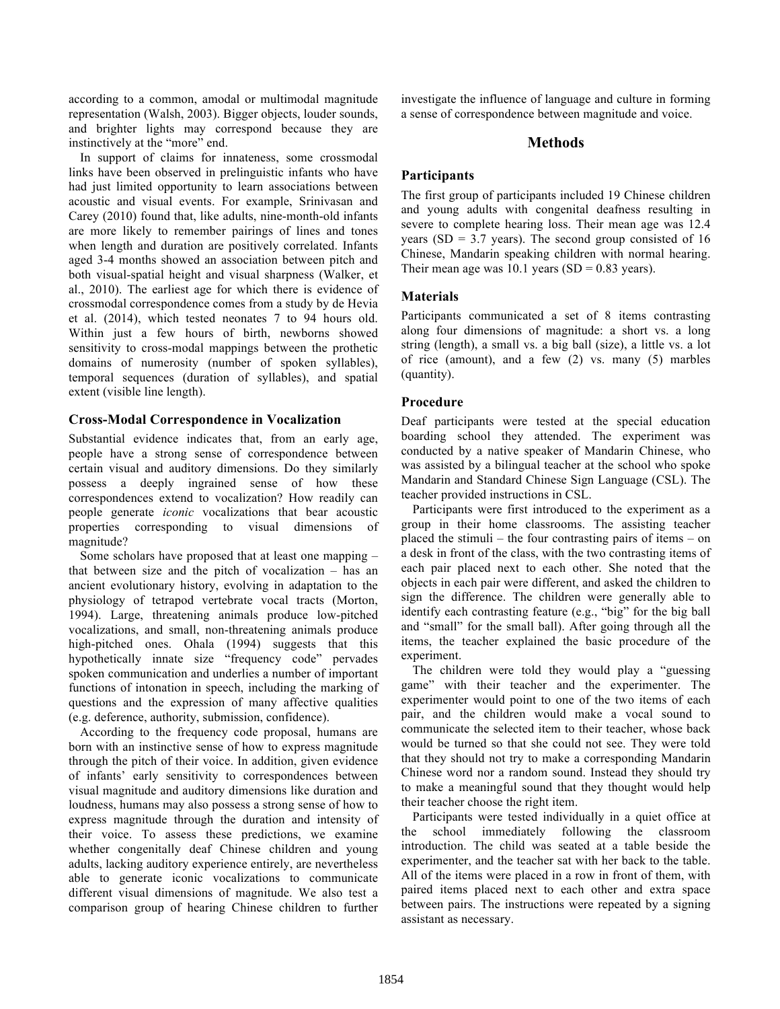according to a common, amodal or multimodal magnitude representation (Walsh, 2003). Bigger objects, louder sounds, and brighter lights may correspond because they are instinctively at the "more" end.

In support of claims for innateness, some crossmodal links have been observed in prelinguistic infants who have had just limited opportunity to learn associations between acoustic and visual events. For example, Srinivasan and Carey (2010) found that, like adults, nine-month-old infants are more likely to remember pairings of lines and tones when length and duration are positively correlated. Infants aged 3-4 months showed an association between pitch and both visual-spatial height and visual sharpness (Walker, et al., 2010). The earliest age for which there is evidence of crossmodal correspondence comes from a study by de Hevia et al. (2014), which tested neonates 7 to 94 hours old. Within just a few hours of birth, newborns showed sensitivity to cross-modal mappings between the prothetic domains of numerosity (number of spoken syllables), temporal sequences (duration of syllables), and spatial extent (visible line length).

### **Cross-Modal Correspondence in Vocalization**

Substantial evidence indicates that, from an early age, people have a strong sense of correspondence between certain visual and auditory dimensions. Do they similarly possess a deeply ingrained sense of how these correspondences extend to vocalization? How readily can people generate *iconic* vocalizations that bear acoustic properties corresponding to visual dimensions of magnitude?

Some scholars have proposed that at least one mapping – that between size and the pitch of vocalization – has an ancient evolutionary history, evolving in adaptation to the physiology of tetrapod vertebrate vocal tracts (Morton, 1994). Large, threatening animals produce low-pitched vocalizations, and small, non-threatening animals produce high-pitched ones. Ohala (1994) suggests that this hypothetically innate size "frequency code" pervades spoken communication and underlies a number of important functions of intonation in speech, including the marking of questions and the expression of many affective qualities (e.g. deference, authority, submission, confidence).

According to the frequency code proposal, humans are born with an instinctive sense of how to express magnitude through the pitch of their voice. In addition, given evidence of infants' early sensitivity to correspondences between visual magnitude and auditory dimensions like duration and loudness, humans may also possess a strong sense of how to express magnitude through the duration and intensity of their voice. To assess these predictions, we examine whether congenitally deaf Chinese children and young adults, lacking auditory experience entirely, are nevertheless able to generate iconic vocalizations to communicate different visual dimensions of magnitude. We also test a comparison group of hearing Chinese children to further

investigate the influence of language and culture in forming a sense of correspondence between magnitude and voice.

# **Methods**

# **Participants**

The first group of participants included 19 Chinese children and young adults with congenital deafness resulting in severe to complete hearing loss. Their mean age was 12.4 years (SD =  $3.7$  years). The second group consisted of 16 Chinese, Mandarin speaking children with normal hearing. Their mean age was  $10.1$  years (SD = 0.83 years).

### **Materials**

Participants communicated a set of 8 items contrasting along four dimensions of magnitude: a short vs. a long string (length), a small vs. a big ball (size), a little vs. a lot of rice (amount), and a few (2) vs. many (5) marbles (quantity).

### **Procedure**

Deaf participants were tested at the special education boarding school they attended. The experiment was conducted by a native speaker of Mandarin Chinese, who was assisted by a bilingual teacher at the school who spoke Mandarin and Standard Chinese Sign Language (CSL). The teacher provided instructions in CSL.

Participants were first introduced to the experiment as a group in their home classrooms. The assisting teacher placed the stimuli – the four contrasting pairs of items – on a desk in front of the class, with the two contrasting items of each pair placed next to each other. She noted that the objects in each pair were different, and asked the children to sign the difference. The children were generally able to identify each contrasting feature (e.g., "big" for the big ball and "small" for the small ball). After going through all the items, the teacher explained the basic procedure of the experiment.

The children were told they would play a "guessing game" with their teacher and the experimenter. The experimenter would point to one of the two items of each pair, and the children would make a vocal sound to communicate the selected item to their teacher, whose back would be turned so that she could not see. They were told that they should not try to make a corresponding Mandarin Chinese word nor a random sound. Instead they should try to make a meaningful sound that they thought would help their teacher choose the right item.

Participants were tested individually in a quiet office at the school immediately following the classroom introduction. The child was seated at a table beside the experimenter, and the teacher sat with her back to the table. All of the items were placed in a row in front of them, with paired items placed next to each other and extra space between pairs. The instructions were repeated by a signing assistant as necessary.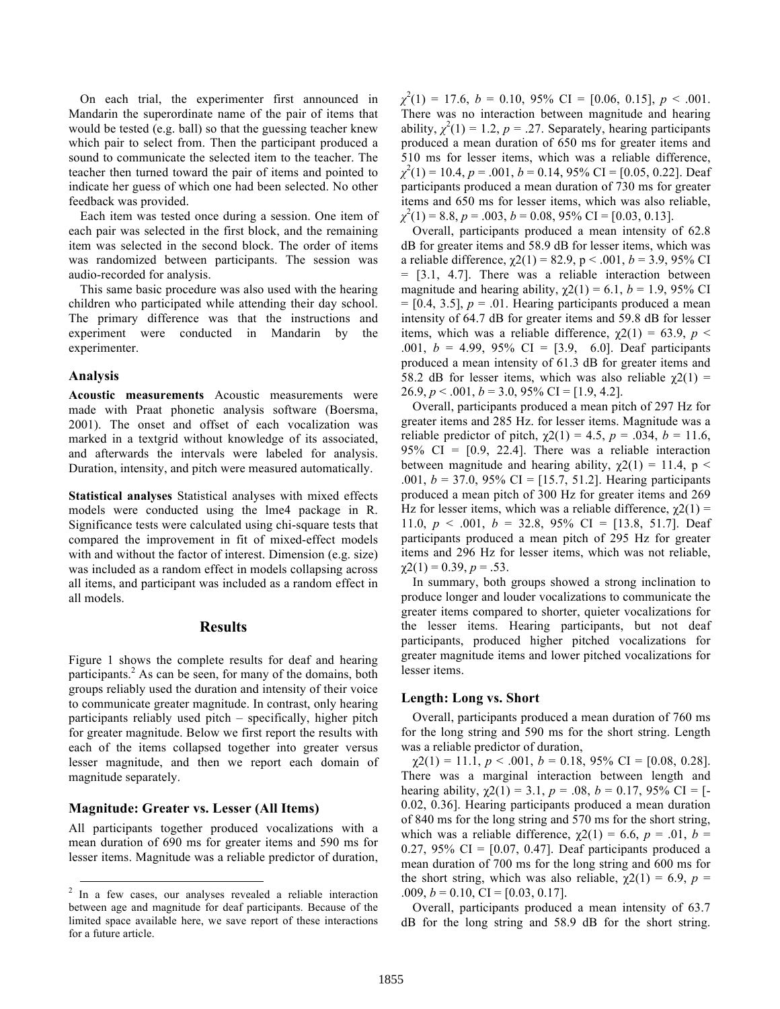On each trial, the experimenter first announced in Mandarin the superordinate name of the pair of items that would be tested (e.g. ball) so that the guessing teacher knew which pair to select from. Then the participant produced a sound to communicate the selected item to the teacher. The teacher then turned toward the pair of items and pointed to indicate her guess of which one had been selected. No other feedback was provided.

Each item was tested once during a session. One item of each pair was selected in the first block, and the remaining item was selected in the second block. The order of items was randomized between participants. The session was audio-recorded for analysis.

This same basic procedure was also used with the hearing children who participated while attending their day school. The primary difference was that the instructions and experiment were conducted in Mandarin by the experimenter.

#### **Analysis**

**Acoustic measurements** Acoustic measurements were made with Praat phonetic analysis software (Boersma, 2001). The onset and offset of each vocalization was marked in a textgrid without knowledge of its associated, and afterwards the intervals were labeled for analysis. Duration, intensity, and pitch were measured automatically.

**Statistical analyses** Statistical analyses with mixed effects models were conducted using the lme4 package in R. Significance tests were calculated using chi-square tests that compared the improvement in fit of mixed-effect models with and without the factor of interest. Dimension (e.g. size) was included as a random effect in models collapsing across all items, and participant was included as a random effect in all models.

#### **Results**

Figure 1 shows the complete results for deaf and hearing participants.<sup>2</sup> As can be seen, for many of the domains, both groups reliably used the duration and intensity of their voice to communicate greater magnitude. In contrast, only hearing participants reliably used pitch – specifically, higher pitch for greater magnitude. Below we first report the results with each of the items collapsed together into greater versus lesser magnitude, and then we report each domain of magnitude separately.

## **Magnitude: Greater vs. Lesser (All Items)**

All participants together produced vocalizations with a mean duration of 690 ms for greater items and 590 ms for lesser items. Magnitude was a reliable predictor of duration,

 $\chi^2(1) = 17.6, b = 0.10, 95\% \text{ CI} = [0.06, 0.15], p < .001.$ There was no interaction between magnitude and hearing ability,  $\chi^2(1) = 1.2$ ,  $p = .27$ . Separately, hearing participants produced a mean duration of 650 ms for greater items and 510 ms for lesser items, which was a reliable difference, *χ* 2 (1) = 10.4, *p* = .001, *b* = 0.14, 95% CI = [0.05, 0.22]. Deaf participants produced a mean duration of 730 ms for greater items and 650 ms for lesser items, which was also reliable, *χ* 2 (1) = 8.8, *p* = .003, *b* = 0.08, 95% CI = [0.03, 0.13].

Overall, participants produced a mean intensity of 62.8 dB for greater items and 58.9 dB for lesser items, which was a reliable difference,  $\chi$ 2(1) = 82.9, p < .001, b = 3.9, 95% CI = [3.1, 4.7]. There was a reliable interaction between magnitude and hearing ability,  $\gamma$ 2(1) = 6.1, *b* = 1.9, 95% CI  $=[0.4, 3.5], p = .01$ . Hearing participants produced a mean intensity of 64.7 dB for greater items and 59.8 dB for lesser items, which was a reliable difference,  $\gamma$ 2(1) = 63.9, *p* < .001, *b* = 4.99, 95% CI = [3.9, 6.0]. Deaf participants produced a mean intensity of 61.3 dB for greater items and 58.2 dB for lesser items, which was also reliable  $\gamma$ 2(1) = 26.9,  $p < .001$ ,  $b = 3.0$ , 95% CI = [1.9, 4.2].

Overall, participants produced a mean pitch of 297 Hz for greater items and 285 Hz. for lesser items. Magnitude was a reliable predictor of pitch,  $χ(2)(1) = 4.5, p = .034, b = 11.6,$ 95% CI =  $[0.9, 22.4]$ . There was a reliable interaction between magnitude and hearing ability,  $\chi$ 2(1) = 11.4, p < .001,  $b = 37.0$ , 95% CI = [15.7, 51.2]. Hearing participants produced a mean pitch of 300 Hz for greater items and 269 Hz for lesser items, which was a reliable difference,  $χ2(1) =$ 11.0,  $p < .001$ ,  $b = 32.8$ ,  $95\%$  CI = [13.8, 51.7]. Deaf participants produced a mean pitch of 295 Hz for greater items and 296 Hz for lesser items, which was not reliable,  $\chi$ 2(1) = 0.39, *p* = .53.

In summary, both groups showed a strong inclination to produce longer and louder vocalizations to communicate the greater items compared to shorter, quieter vocalizations for the lesser items. Hearing participants, but not deaf participants, produced higher pitched vocalizations for greater magnitude items and lower pitched vocalizations for lesser items.

#### **Length: Long vs. Short**

Overall, participants produced a mean duration of 760 ms for the long string and 590 ms for the short string. Length was a reliable predictor of duration,

 $\chi$ 2(1) = 11.1, *p* < .001, *b* = 0.18, 95% CI = [0.08, 0.28]. There was a marginal interaction between length and hearing ability,  $\chi(21) = 3.1$ ,  $p = .08$ ,  $b = 0.17$ , 95% CI = [-0.02, 0.36]. Hearing participants produced a mean duration of 840 ms for the long string and 570 ms for the short string, which was a reliable difference,  $\chi(21) = 6.6$ ,  $p = .01$ ,  $b =$ 0.27, 95% CI =  $[0.07, 0.47]$ . Deaf participants produced a mean duration of 700 ms for the long string and 600 ms for the short string, which was also reliable,  $\gamma$ 2(1) = 6.9, *p* = .009,  $b = 0.10$ , CI = [0.03, 0.17].

Overall, participants produced a mean intensity of 63.7 dB for the long string and 58.9 dB for the short string.

<sup>&</sup>lt;sup>2</sup> In a few cases, our analyses revealed a reliable interaction between age and magnitude for deaf participants. Because of the limited space available here, we save report of these interactions for a future article.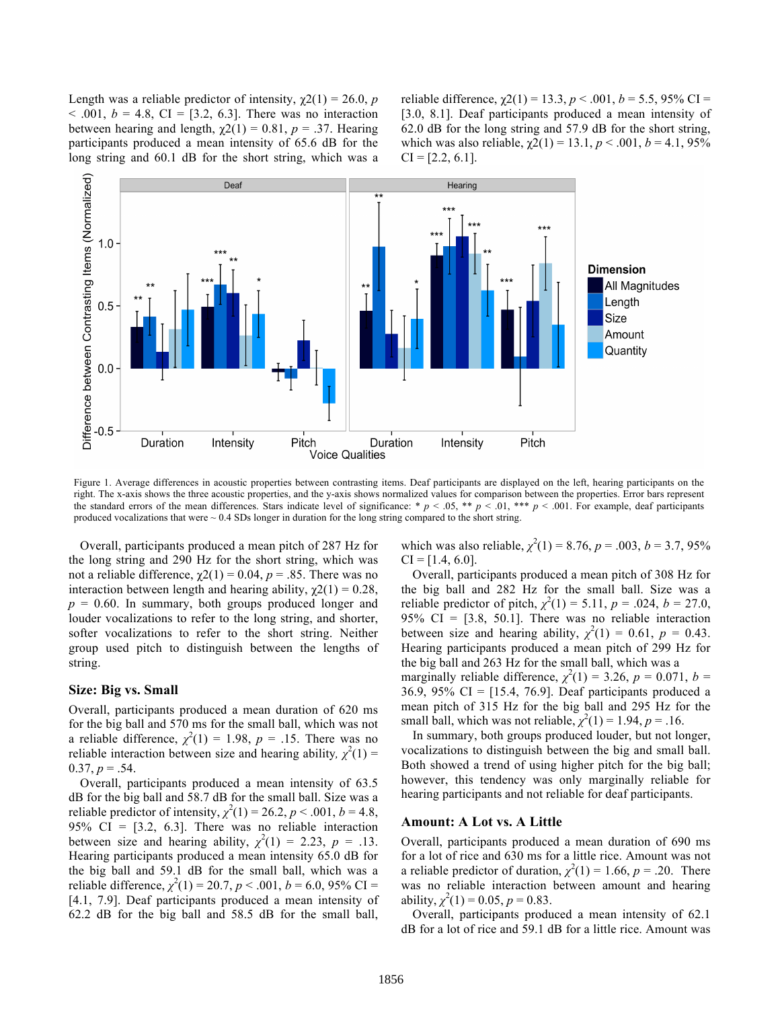Length was a reliable predictor of intensity,  $\chi$ 2(1) = 26.0, *p*  $\leq$  .001,  $b = 4.8$ , CI = [3.2, 6.3]. There was no interaction between hearing and length,  $\chi$ 2(1) = 0.81, *p* = .37. Hearing participants produced a mean intensity of 65.6 dB for the long string and 60.1 dB for the short string, which was a reliable difference,  $\chi$ 2(1) = 13.3, *p* < .001, *b* = 5.5, 95% CI = [3.0, 8.1]. Deaf participants produced a mean intensity of 62.0 dB for the long string and 57.9 dB for the short string, which was also reliable,  $\chi$ 2(1) = 13.1,  $p$  < .001,  $b$  = 4.1, 95%  $CI = [2.2, 6.1].$ 



Figure 1. Average differences in acoustic properties between contrasting items. Deaf participants are displayed on the left, hearing participants on the right. The x-axis shows the three acoustic properties, and the y-axis shows normalized values for comparison between the properties. Error bars represent the standard errors of the mean differences. Stars indicate level of significance: \*  $p < .05$ , \*\*  $p < .01$ , \*\*\*  $p < .001$ . For example, deaf participants produced vocalizations that were  $\sim 0.4$  SDs longer in duration for the long string compared to the short string.

Overall, participants produced a mean pitch of 287 Hz for the long string and 290 Hz for the short string, which was not a reliable difference,  $χ(2)(1) = 0.04$ ,  $p = .85$ . There was no interaction between length and hearing ability,  $\chi$ 2(1) = 0.28,  $p = 0.60$ . In summary, both groups produced longer and louder vocalizations to refer to the long string, and shorter, softer vocalizations to refer to the short string. Neither group used pitch to distinguish between the lengths of string.

#### **Size: Big vs. Small**

Overall, participants produced a mean duration of 620 ms for the big ball and 570 ms for the small ball, which was not a reliable difference,  $\chi^2(1) = 1.98$ ,  $p = .15$ . There was no reliable interaction between size and hearing ability,  $\chi^2(1)$  =  $0.37, p = .54.$ 

Overall, participants produced a mean intensity of 63.5 dB for the big ball and 58.7 dB for the small ball. Size was a reliable predictor of intensity,  $\chi^2(1) = 26.2$ ,  $p < .001$ ,  $b = 4.8$ , 95% CI =  $[3.2, 6.3]$ . There was no reliable interaction between size and hearing ability,  $\chi^2(1) = 2.23$ ,  $p = .13$ . Hearing participants produced a mean intensity 65.0 dB for the big ball and 59.1 dB for the small ball, which was a reliable difference,  $\chi^2(1) = 20.7$ ,  $p < .001$ ,  $b = 6.0$ , 95% CI = [4.1, 7.9]. Deaf participants produced a mean intensity of 62.2 dB for the big ball and 58.5 dB for the small ball,

which was also reliable,  $\chi^2(1) = 8.76$ ,  $p = .003$ ,  $b = 3.7$ , 95%  $CI = [1.4, 6.0].$ 

Overall, participants produced a mean pitch of 308 Hz for the big ball and 282 Hz for the small ball. Size was a reliable predictor of pitch,  $\chi^2(1) = 5.11$ ,  $p = .024$ ,  $b = 27.0$ , 95% CI =  $[3.8, 50.1]$ . There was no reliable interaction between size and hearing ability,  $\chi^2(1) = 0.61$ ,  $p = 0.43$ . Hearing participants produced a mean pitch of 299 Hz for the big ball and 263 Hz for the small ball, which was a marginally reliable difference,  $\chi^2(1) = 3.26$ ,  $p = 0.071$ ,  $b =$ 36.9, 95% CI = [15.4, 76.9]. Deaf participants produced a mean pitch of 315 Hz for the big ball and 295 Hz for the small ball, which was not reliable,  $\chi^2(1) = 1.94$ ,  $p = .16$ .

In summary, both groups produced louder, but not longer, vocalizations to distinguish between the big and small ball. Both showed a trend of using higher pitch for the big ball; however, this tendency was only marginally reliable for hearing participants and not reliable for deaf participants.

#### **Amount: A Lot vs. A Little**

Overall, participants produced a mean duration of 690 ms for a lot of rice and 630 ms for a little rice. Amount was not a reliable predictor of duration,  $\chi^2(1) = 1.66$ ,  $p = .20$ . There was no reliable interaction between amount and hearing ability,  $\chi^2(1) = 0.05$ ,  $p = 0.83$ .

Overall, participants produced a mean intensity of 62.1 dB for a lot of rice and 59.1 dB for a little rice. Amount was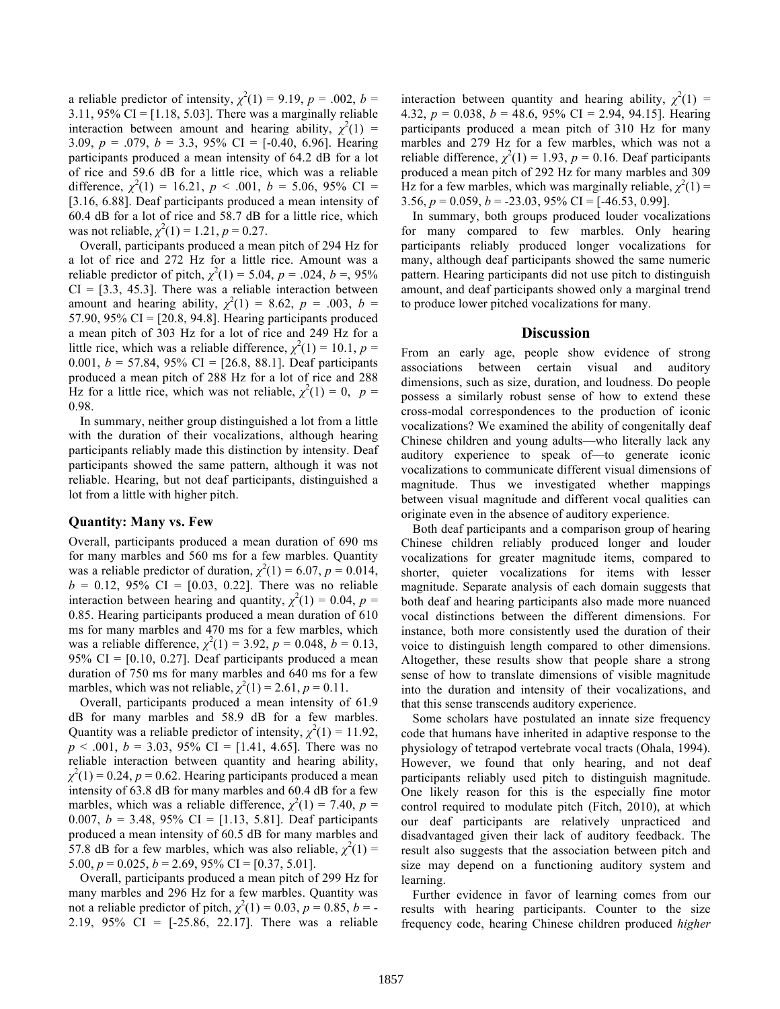a reliable predictor of intensity,  $\chi^2(1) = 9.19$ ,  $p = .002$ ,  $b =$ 3.11, 95% CI =  $[1.18, 5.03]$ . There was a marginally reliable interaction between amount and hearing ability,  $\chi^2(1)$  = 3.09, *p* = .079, *b* = 3.3, 95% CI = [-0.40, 6.96]. Hearing participants produced a mean intensity of 64.2 dB for a lot of rice and 59.6 dB for a little rice, which was a reliable difference,  $\chi^2(1) = 16.21$ ,  $p < .001$ ,  $b = 5.06$ , 95% CI = [3.16, 6.88]. Deaf participants produced a mean intensity of 60.4 dB for a lot of rice and 58.7 dB for a little rice, which was not reliable,  $\chi^2(1) = 1.21$ ,  $p = 0.27$ .

Overall, participants produced a mean pitch of 294 Hz for a lot of rice and 272 Hz for a little rice. Amount was a reliable predictor of pitch,  $\chi^2(1) = 5.04$ ,  $p = .024$ ,  $b = .95\%$  $CI = [3.3, 45.3]$ . There was a reliable interaction between amount and hearing ability,  $\chi^2(1) = 8.62$ ,  $p = .003$ ,  $b =$ 57.90, 95% CI =  $[20.8, 94.8]$ . Hearing participants produced a mean pitch of 303 Hz for a lot of rice and 249 Hz for a little rice, which was a reliable difference,  $\chi^2(1) = 10.1$ ,  $p =$ 0.001, *b* = 57.84, 95% CI = [26.8, 88.1]. Deaf participants produced a mean pitch of 288 Hz for a lot of rice and 288 Hz for a little rice, which was not reliable,  $\chi^2(1) = 0$ ,  $p =$ 0.98.

In summary, neither group distinguished a lot from a little with the duration of their vocalizations, although hearing participants reliably made this distinction by intensity. Deaf participants showed the same pattern, although it was not reliable. Hearing, but not deaf participants, distinguished a lot from a little with higher pitch.

#### **Quantity: Many vs. Few**

Overall, participants produced a mean duration of 690 ms for many marbles and 560 ms for a few marbles. Quantity was a reliable predictor of duration,  $\chi^2(1) = 6.07$ ,  $p = 0.014$ ,  $b = 0.12, 95\% \text{ CI} = [0.03, 0.22].$  There was no reliable interaction between hearing and quantity,  $\chi^2(1) = 0.04$ ,  $p =$ 0.85. Hearing participants produced a mean duration of 610 ms for many marbles and 470 ms for a few marbles, which was a reliable difference,  $\chi^2(1) = 3.92$ ,  $p = 0.048$ ,  $b = 0.13$ , 95% CI =  $[0.10, 0.27]$ . Deaf participants produced a mean duration of 750 ms for many marbles and 640 ms for a few marbles, which was not reliable,  $\chi^2(1) = 2.61$ ,  $p = 0.11$ .

Overall, participants produced a mean intensity of 61.9 dB for many marbles and 58.9 dB for a few marbles. Quantity was a reliable predictor of intensity,  $\chi^2(1) = 11.92$ ,  $p < .001$ ,  $b = 3.03$ , 95% CI = [1.41, 4.65]. There was no reliable interaction between quantity and hearing ability,  $\chi^2(1) = 0.24$ ,  $p = 0.62$ . Hearing participants produced a mean intensity of 63.8 dB for many marbles and 60.4 dB for a few marbles, which was a reliable difference,  $\chi^2(1) = 7.40$ ,  $p =$ 0.007, *b* = 3.48, 95% CI = [1.13, 5.81]. Deaf participants produced a mean intensity of 60.5 dB for many marbles and 57.8 dB for a few marbles, which was also reliable,  $\chi^2(1)$  = 5.00,  $p = 0.025$ ,  $b = 2.69$ , 95% CI = [0.37, 5.01].

Overall, participants produced a mean pitch of 299 Hz for many marbles and 296 Hz for a few marbles. Quantity was not a reliable predictor of pitch,  $\chi^2(1) = 0.03$ ,  $p = 0.85$ ,  $b = -1$ 2.19, 95% CI = [-25.86, 22.17]. There was a reliable

interaction between quantity and hearing ability,  $\chi^2(1)$  = 4.32, *p* = 0.038, *b* = 48.6, 95% CI = 2.94, 94.15]. Hearing participants produced a mean pitch of 310 Hz for many marbles and 279 Hz for a few marbles, which was not a reliable difference,  $\chi^2(1) = 1.93$ ,  $p = 0.16$ . Deaf participants produced a mean pitch of 292 Hz for many marbles and 309 Hz for a few marbles, which was marginally reliable,  $\chi^2(1)$  = 3.56, *p* = 0.059, *b* = -23.03, 95% CI = [-46.53, 0.99].

In summary, both groups produced louder vocalizations for many compared to few marbles. Only hearing participants reliably produced longer vocalizations for many, although deaf participants showed the same numeric pattern. Hearing participants did not use pitch to distinguish amount, and deaf participants showed only a marginal trend to produce lower pitched vocalizations for many.

### **Discussion**

From an early age, people show evidence of strong associations between certain visual and auditory dimensions, such as size, duration, and loudness. Do people possess a similarly robust sense of how to extend these cross-modal correspondences to the production of iconic vocalizations? We examined the ability of congenitally deaf Chinese children and young adults—who literally lack any auditory experience to speak of—to generate iconic vocalizations to communicate different visual dimensions of magnitude. Thus we investigated whether mappings between visual magnitude and different vocal qualities can originate even in the absence of auditory experience.

Both deaf participants and a comparison group of hearing Chinese children reliably produced longer and louder vocalizations for greater magnitude items, compared to shorter, quieter vocalizations for items with lesser magnitude. Separate analysis of each domain suggests that both deaf and hearing participants also made more nuanced vocal distinctions between the different dimensions. For instance, both more consistently used the duration of their voice to distinguish length compared to other dimensions. Altogether, these results show that people share a strong sense of how to translate dimensions of visible magnitude into the duration and intensity of their vocalizations, and that this sense transcends auditory experience.

Some scholars have postulated an innate size frequency code that humans have inherited in adaptive response to the physiology of tetrapod vertebrate vocal tracts (Ohala, 1994). However, we found that only hearing, and not deaf participants reliably used pitch to distinguish magnitude. One likely reason for this is the especially fine motor control required to modulate pitch (Fitch, 2010), at which our deaf participants are relatively unpracticed and disadvantaged given their lack of auditory feedback. The result also suggests that the association between pitch and size may depend on a functioning auditory system and learning.

Further evidence in favor of learning comes from our results with hearing participants. Counter to the size frequency code, hearing Chinese children produced *higher*